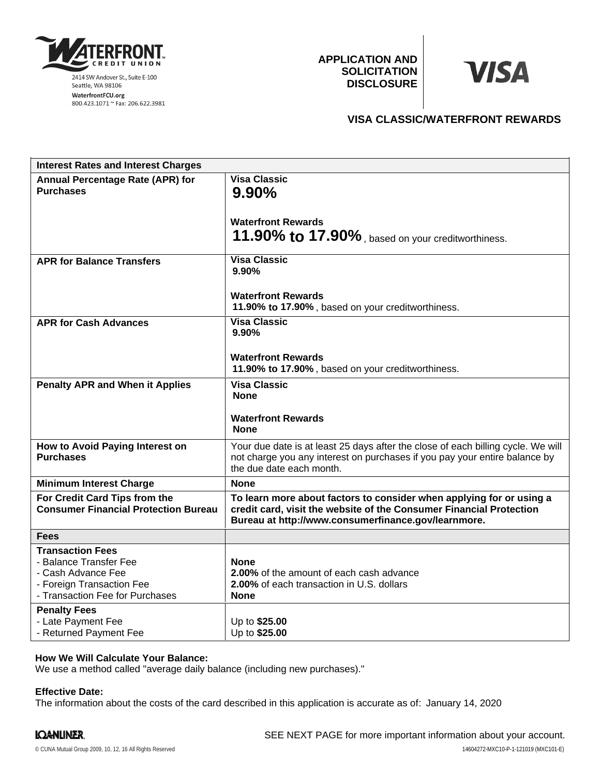

**APPLICATION AND SOLICITATION DISCLOSURE**

# **VISA**

## **VISA CLASSIC/WATERFRONT REWARDS**

| <b>Interest Rates and Interest Charges</b>                                                                                                                     |                                                                                                                                                                                                    |
|----------------------------------------------------------------------------------------------------------------------------------------------------------------|----------------------------------------------------------------------------------------------------------------------------------------------------------------------------------------------------|
| <b>Annual Percentage Rate (APR) for</b><br><b>Purchases</b>                                                                                                    | <b>Visa Classic</b><br>$9.90\%$<br><b>Waterfront Rewards</b><br>11.90% to 17.90%, based on your creditworthiness.                                                                                  |
| <b>APR for Balance Transfers</b>                                                                                                                               | <b>Visa Classic</b><br>9.90%<br><b>Waterfront Rewards</b><br>11.90% to 17.90%, based on your creditworthiness.                                                                                     |
| <b>APR for Cash Advances</b>                                                                                                                                   | <b>Visa Classic</b><br>9.90%<br><b>Waterfront Rewards</b><br>11.90% to 17.90%, based on your creditworthiness.                                                                                     |
| <b>Penalty APR and When it Applies</b>                                                                                                                         | <b>Visa Classic</b><br><b>None</b><br><b>Waterfront Rewards</b><br><b>None</b>                                                                                                                     |
| How to Avoid Paying Interest on<br><b>Purchases</b>                                                                                                            | Your due date is at least 25 days after the close of each billing cycle. We will<br>not charge you any interest on purchases if you pay your entire balance by<br>the due date each month.         |
| <b>Minimum Interest Charge</b>                                                                                                                                 | <b>None</b>                                                                                                                                                                                        |
| For Credit Card Tips from the<br><b>Consumer Financial Protection Bureau</b>                                                                                   | To learn more about factors to consider when applying for or using a<br>credit card, visit the website of the Consumer Financial Protection<br>Bureau at http://www.consumerfinance.gov/learnmore. |
| <b>Fees</b>                                                                                                                                                    |                                                                                                                                                                                                    |
| <b>Transaction Fees</b><br>- Balance Transfer Fee<br>- Cash Advance Fee<br>- Foreign Transaction Fee<br>- Transaction Fee for Purchases<br><b>Penalty Fees</b> | <b>None</b><br>2.00% of the amount of each cash advance<br>2.00% of each transaction in U.S. dollars<br><b>None</b>                                                                                |
| - Late Payment Fee<br>- Returned Payment Fee                                                                                                                   | Up to \$25.00<br>Up to \$25.00                                                                                                                                                                     |

## **How We Will Calculate Your Balance:**

We use a method called "average daily balance (including new purchases)."

#### **Effective Date:**

The information about the costs of the card described in this application is accurate as of: January 14, 2020

## IQANLINER.